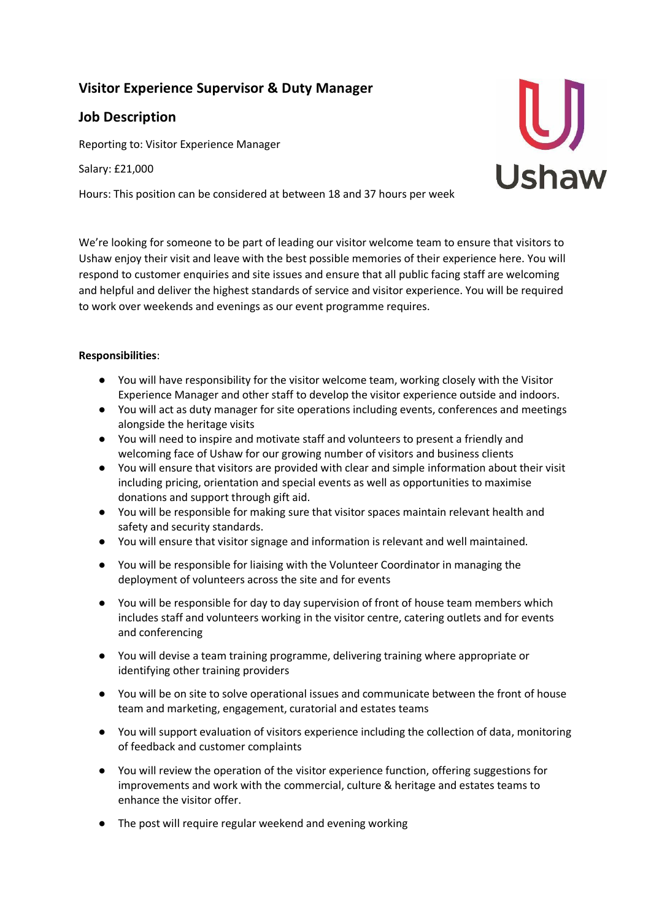# **Visitor Experience Supervisor & Duty Manager**

## **Job Description**

Reporting to: Visitor Experience Manager

Salary: £21,000

Hours: This position can be considered at between 18 and 37 hours per week



We're looking for someone to be part of leading our visitor welcome team to ensure that visitors to Ushaw enjoy their visit and leave with the best possible memories of their experience here. You will respond to customer enquiries and site issues and ensure that all public facing staff are welcoming and helpful and deliver the highest standards of service and visitor experience. You will be required to work over weekends and evenings as our event programme requires.

## **Responsibilities**:

- You will have responsibility for the visitor welcome team, working closely with the Visitor Experience Manager and other staff to develop the visitor experience outside and indoors.
- You will act as duty manager for site operations including events, conferences and meetings alongside the heritage visits
- You will need to inspire and motivate staff and volunteers to present a friendly and welcoming face of Ushaw for our growing number of visitors and business clients
- You will ensure that visitors are provided with clear and simple information about their visit including pricing, orientation and special events as well as opportunities to maximise donations and support through gift aid.
- You will be responsible for making sure that visitor spaces maintain relevant health and safety and security standards.
- You will ensure that visitor signage and information is relevant and well maintained.
- You will be responsible for liaising with the Volunteer Coordinator in managing the deployment of volunteers across the site and for events
- You will be responsible for day to day supervision of front of house team members which includes staff and volunteers working in the visitor centre, catering outlets and for events and conferencing
- You will devise a team training programme, delivering training where appropriate or identifying other training providers
- You will be on site to solve operational issues and communicate between the front of house team and marketing, engagement, curatorial and estates teams
- You will support evaluation of visitors experience including the collection of data, monitoring of feedback and customer complaints
- You will review the operation of the visitor experience function, offering suggestions for improvements and work with the commercial, culture & heritage and estates teams to enhance the visitor offer.
- The post will require regular weekend and evening working